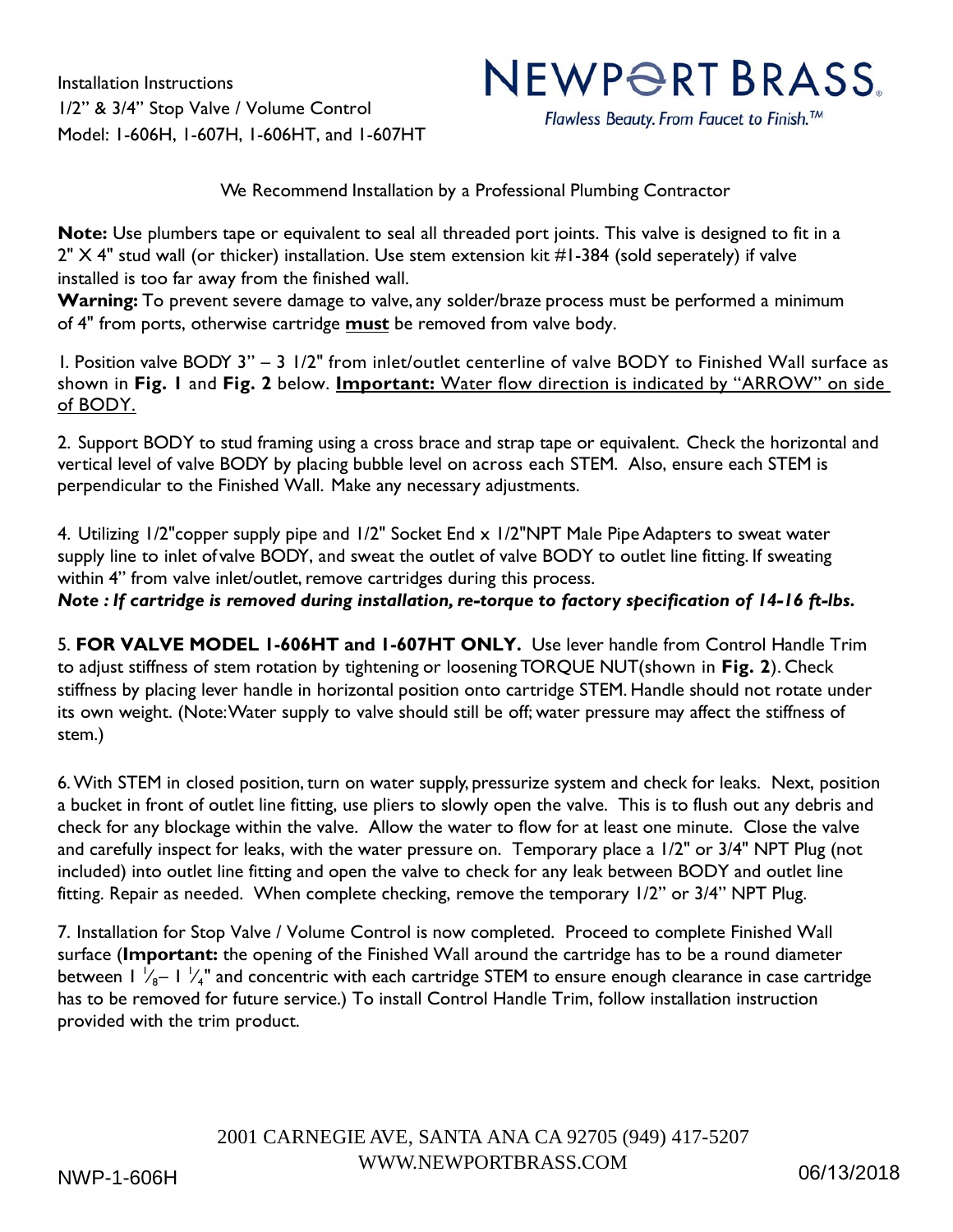Installation Instructions 1/2" & 3/4" Stop Valve / Volume Control Model: 1-606H, 1-607H, 1-606HT, and 1-607HT

## NEWPORT BRASS.

Flawless Beauty. From Faucet to Finish.<sup>™</sup>

We Recommend Installation by a Professional Plumbing Contractor

**Note:** Use plumbers tape or equivalent to seal all threaded port joints. This valve is designed to fit in a 2" X 4" stud wall (or thicker) installation. Use stem extension kit #1-384 (sold seperately) if valve installed is too far away from the finished wall.

**Warning:** To prevent severe damage to valve, any solder/braze process must be performed a minimum of 4" from ports, otherwise cartridge **must** be removed from valve body.

1. Position valve BODY 3" – 3 1/2" from inlet/outlet centerline of valve BODY to Finished Wall surface as shown in **Fig. 1** and **Fig. 2** below. **Important:** Water flow direction is indicated by "ARROW" on side of BODY.

2. Support BODY to stud framing using a cross brace and strap tape or equivalent. Check the horizontal and vertical level of valve BODY by placing bubble level on across each STEM. Also, ensure each STEM is perpendicular to the Finished Wall. Make any necessary adjustments.

4. Utilizing 1/2"copper supply pipe and 1/2" Socket End x 1/2"NPT Male Pipe Adapters to sweat water supply line to inlet of valve BODY, and sweat the outlet of valve BODY to outlet line fitting. If sweating within 4" from valve inlet/outlet, remove cartridges during this process.

*Note : If cartridge is removed during installation, re-torque to factory specification of 14-16 ft-lbs.* 

5. **FOR VALVE MODEL 1-606HT and 1-607HT ONLY.** Use lever handle from Control Handle Trim to adjust stiffness of stem rotation by tightening or loosening TORQUE NUT (shown in **Fig. 2**). Check stiffness by placing lever handle in horizontal position onto cartridge STEM. Handle should not rotate under its own weight. (Note: Water supply to valve should still be off; water pressure may affect the stiffness of stem.)

6. With STEM in closed position, turn on water supply, pressurize system and check for leaks. Next, position a bucket in front of outlet line fitting, use pliers to slowly open the valve. This is to flush out any debris and check for any blockage within the valve. Allow the water to flow for at least one minute. Close the valve and carefully inspect for leaks, with the water pressure on. Temporary place a 1/2" or 3/4" NPT Plug (not included) into outlet line fitting and open the valve to check for any leak between BODY and outlet line fitting. Repair as needed. When complete checking, remove the temporary 1/2" or 3/4" NPT Plug.

7. Installation for Stop Valve / Volume Control is now completed. Proceed to complete Finished Wall surface (**Important:** the opening of the Finished Wall around the cartridge has to be a round diameter between 1  $\rm V_{8}$ – 1  $\rm V_{4}$ " and concentric with each cartridge STEM to ensure enough clearance in case cartridge has to be removed for future service.) To install Control Handle Trim, follow installation instruction provided with the trim product.